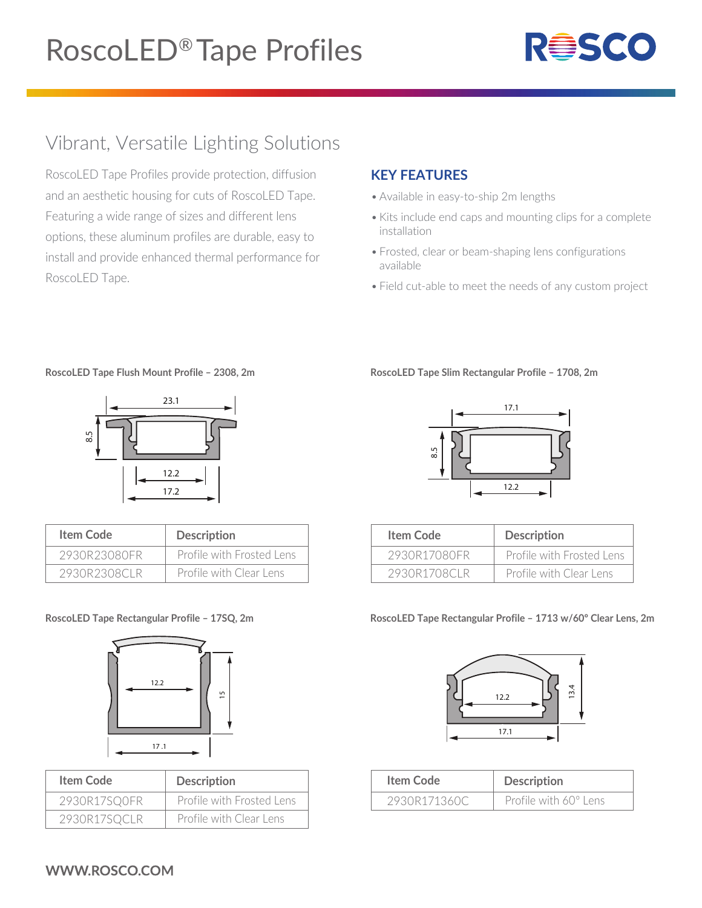

## Vibrant, Versatile Lighting Solutions

RoscoLED Tape Profiles provide protection, diffusion and an aesthetic housing for cuts of RoscoLED Tape. Featuring a wide range of sizes and different lens options, these aluminum profiles are durable, easy to install and provide enhanced thermal performance for RoscoLED Tape.

### **KEY FEATURES**

- Available in easy-to-ship 2m lengths
- Kits include end caps and mounting clips for a complete installation
- Frosted, clear or beam-shaping lens configurations available
- Field cut-able to meet the needs of any custom project

**RoscoLED Tape Flush Mount Profile – 2308, 2m**



| Item Code    | <b>Description</b>        |
|--------------|---------------------------|
| 2930R23080FR | Profile with Frosted Lens |
| 2930R2308CLR | Profile with Clear Lens   |

#### **RoscoLED Tape Rectangular Profile – 17SQ, 2m**



| Item Code    | <b>Description</b>        |
|--------------|---------------------------|
| 2930R17SQ0FR | Profile with Frosted Lens |
| 2930R17SQCLR | Profile with Clear Lens   |

#### **RoscoLED Tape Slim Rectangular Profile – 1708, 2m**



| Item Code    | <b>Description</b>        |
|--------------|---------------------------|
| 2930R17080FR | Profile with Frosted Lens |
| 2930R1708CLR | Profile with Clear Lens   |

#### **RoscoLED Tape Rectangular Profile – 1713 w/60º Clear Lens, 2m**



| Item Code    | <b>Description</b>           |
|--------------|------------------------------|
| 2930R171360C | Profile with $60^\circ$ Lens |